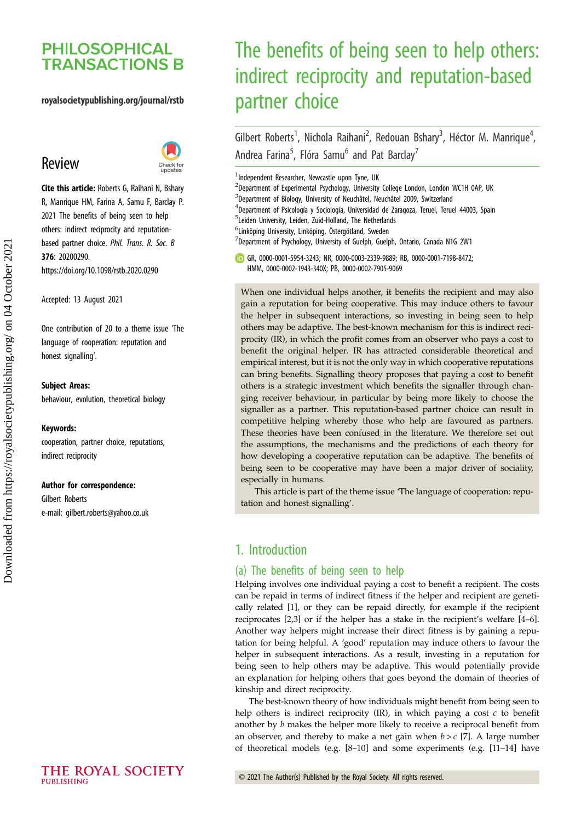# **PHILOSOPHICAL TRANSACTIONS B**

# royalsocietypublishing.org/journal/rstb

# Review



Cite this article: Roberts G, Raihani N, Bshary R, Manrique HM, Farina A, Samu F, Barclay P. 2021 The benefits of being seen to help others: indirect reciprocity and reputationbased partner choice. Phil. Trans. R. Soc. B 376: 20200290. https://doi.org/10.1098/rstb.2020.0290

Accepted: 13 August 2021

One contribution of 20 to a theme issue '[The](http://dx.doi.org/10.1098/rstb/376/1838) [language of cooperation: reputation and](http://dx.doi.org/10.1098/rstb/376/1838) [honest signalling](http://dx.doi.org/10.1098/rstb/376/1838)'.

#### Subject Areas:

behaviour, evolution, theoretical biology

#### Keywords:

cooperation, partner choice, reputations, indirect reciprocity

#### Author for correspondence:

Gilbert Roberts e-mail: [gilbert.roberts@yahoo.co.uk](mailto:gilbert.roberts@yahoo.co.uk)

# The benefits of being seen to help others: indirect reciprocity and reputation-based partner choice

Gilbert Roberts<sup>1</sup>, Nichola Raihani<sup>2</sup>, Redouan Bshary<sup>3</sup>, Héctor M. Manrique<sup>4</sup> .<br>, Andrea Farina<sup>5</sup>, Flóra Samu<sup>6</sup> and Pat Barclay<sup>7</sup>

<sup>1</sup>Independent Researcher, Newcastle upon Tyne, UK

<sup>2</sup>Department of Experimental Psychology, University College London, London WC1H 0AP, UK

<sup>3</sup>Department of Biology, University of Neuchâtel, Neuchâtel 2009, Switzerland

<sup>4</sup>Department of Psicología y Sociología, Universidad de Zaragoza, Teruel, Teruel 44003, Spain

5 Leiden University, Leiden, Zuid-Holland, The Netherlands

6 Linköping University, Linköping, Östergötland, Sweden

 $^{7}$ Department of Psychology, University of Guelph, Guelph, Ontario, Canada N1G 2W1

GR, [0000-0001-5954-3243](http://orcid.org/0000-0001-5954-3243); NR, [0000-0003-2339-9889](http://orcid.org/0000-0003-2339-9889); RB, [0000-0001-7198-8472](http://orcid.org/0000-0001-7198-8472); HMM, [0000-0002-1943-340X](http://orcid.org/0000-0002-1943-340X); PB, [0000-0002-7905-9069](http://orcid.org/0000-0002-7905-9069)

When one individual helps another, it benefits the recipient and may also gain a reputation for being cooperative. This may induce others to favour the helper in subsequent interactions, so investing in being seen to help others may be adaptive. The best-known mechanism for this is indirect reciprocity (IR), in which the profit comes from an observer who pays a cost to benefit the original helper. IR has attracted considerable theoretical and empirical interest, but it is not the only way in which cooperative reputations can bring benefits. Signalling theory proposes that paying a cost to benefit others is a strategic investment which benefits the signaller through changing receiver behaviour, in particular by being more likely to choose the signaller as a partner. This reputation-based partner choice can result in competitive helping whereby those who help are favoured as partners. These theories have been confused in the literature. We therefore set out the assumptions, the mechanisms and the predictions of each theory for how developing a cooperative reputation can be adaptive. The benefits of being seen to be cooperative may have been a major driver of sociality, especially in humans.

This article is part of the theme issue 'The language of cooperation: reputation and honest signalling'.

# 1. Introduction

## (a) The benefits of being seen to help

Helping involves one individual paying a cost to benefit a recipient. The costs can be repaid in terms of indirect fitness if the helper and recipient are genetically related [\[1\]](#page-6-0), or they can be repaid directly, for example if the recipient reciprocates [\[2,3](#page-6-0)] or if the helper has a stake in the recipient's welfare [\[4](#page-7-0)–[6\]](#page-7-0). Another way helpers might increase their direct fitness is by gaining a reputation for being helpful. A 'good' reputation may induce others to favour the helper in subsequent interactions. As a result, investing in a reputation for being seen to help others may be adaptive. This would potentially provide an explanation for helping others that goes beyond the domain of theories of kinship and direct reciprocity.

The best-known theory of how individuals might benefit from being seen to help others is indirect reciprocity (IR), in which paying a cost  $c$  to benefit another by b makes the helper more likely to receive a reciprocal benefit from an observer, and thereby to make a net gain when  $b > c$  [[7](#page-7-0)]. A large number of theoretical models (e.g. [[8](#page-7-0)–[10\]](#page-7-0) and some experiments (e.g. [[11](#page-7-0)–[14\]](#page-7-0) have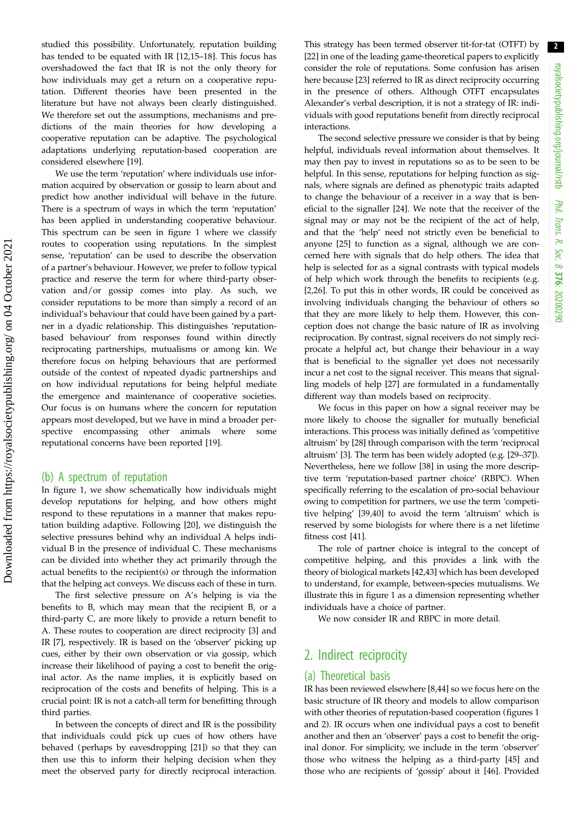studied this possibility. Unfortunately, reputation building has tended to be equated with IR [[12,15](#page-7-0)–[18\]](#page-7-0). This focus has overshadowed the fact that IR is not the only theory for how individuals may get a return on a cooperative reputation. Different theories have been presented in the literature but have not always been clearly distinguished. We therefore set out the assumptions, mechanisms and predictions of the main theories for how developing a cooperative reputation can be adaptive. The psychological adaptations underlying reputation-based cooperation are considered elsewhere [\[19](#page-7-0)].

We use the term 'reputation' where individuals use information acquired by observation or gossip to learn about and predict how another individual will behave in the future. There is a spectrum of ways in which the term 'reputation' has been applied in understanding cooperative behaviour. This spectrum can be seen in [figure 1](#page-2-0) where we classify routes to cooperation using reputations. In the simplest sense, 'reputation' can be used to describe the observation of a partner's behaviour. However, we prefer to follow typical practice and reserve the term for where third-party observation and/or gossip comes into play. As such, we consider reputations to be more than simply a record of an individual's behaviour that could have been gained by a partner in a dyadic relationship. This distinguishes 'reputationbased behaviour' from responses found within directly reciprocating partnerships, mutualisms or among kin. We therefore focus on helping behaviours that are performed outside of the context of repeated dyadic partnerships and on how individual reputations for being helpful mediate the emergence and maintenance of cooperative societies. Our focus is on humans where the concern for reputation appears most developed, but we have in mind a broader perspective encompassing other animals where some reputational concerns have been reported [[19\]](#page-7-0).

## (b) A spectrum of reputation

In [figure 1](#page-2-0), we show schematically how individuals might develop reputations for helping, and how others might respond to these reputations in a manner that makes reputation building adaptive. Following [\[20](#page-7-0)], we distinguish the selective pressures behind why an individual A helps individual B in the presence of individual C. These mechanisms can be divided into whether they act primarily through the actual benefits to the recipient(s) or through the information that the helping act conveys. We discuss each of these in turn.

The first selective pressure on A's helping is via the benefits to B, which may mean that the recipient B, or a third-party C, are more likely to provide a return benefit to A. These routes to cooperation are direct reciprocity [[3](#page-6-0)] and IR [[7](#page-7-0)], respectively. IR is based on the 'observer' picking up cues, either by their own observation or via gossip, which increase their likelihood of paying a cost to benefit the original actor. As the name implies, it is explicitly based on reciprocation of the costs and benefits of helping. This is a crucial point: IR is not a catch-all term for benefitting through third parties.

In between the concepts of direct and IR is the possibility that individuals could pick up cues of how others have behaved (perhaps by eavesdropping [\[21](#page-7-0)]) so that they can then use this to inform their helping decision when they meet the observed party for directly reciprocal interaction.

This strategy has been termed observer tit-for-tat (OTFT) by [[22\]](#page-7-0) in one of the leading game-theoretical papers to explicitly consider the role of reputations. Some confusion has arisen here because [\[23](#page-7-0)] referred to IR as direct reciprocity occurring in the presence of others. Although OTFT encapsulates Alexander's verbal description, it is not a strategy of IR: individuals with good reputations benefit from directly reciprocal interactions.

The second selective pressure we consider is that by being helpful, individuals reveal information about themselves. It may then pay to invest in reputations so as to be seen to be helpful. In this sense, reputations for helping function as signals, where signals are defined as phenotypic traits adapted to change the behaviour of a receiver in a way that is beneficial to the signaller [[24\]](#page-7-0). We note that the receiver of the signal may or may not be the recipient of the act of help, and that the 'help' need not strictly even be beneficial to anyone [[25\]](#page-7-0) to function as a signal, although we are concerned here with signals that do help others. The idea that help is selected for as a signal contrasts with typical models of help which work through the benefits to recipients (e.g. [[2](#page-6-0)[,26](#page-7-0)]. To put this in other words, IR could be conceived as involving individuals changing the behaviour of others so that they are more likely to help them. However, this conception does not change the basic nature of IR as involving reciprocation. By contrast, signal receivers do not simply reciprocate a helpful act, but change their behaviour in a way that is beneficial to the signaller yet does not necessarily incur a net cost to the signal receiver. This means that signalling models of help [[27\]](#page-7-0) are formulated in a fundamentally different way than models based on reciprocity.

We focus in this paper on how a signal receiver may be more likely to choose the signaller for mutually beneficial interactions. This process was initially defined as 'competitive altruism' by [\[28](#page-7-0)] through comparison with the term 'reciprocal altruism' [[3](#page-6-0)]. The term has been widely adopted (e.g. [[29](#page-7-0)–[37\]](#page-7-0)). Nevertheless, here we follow [[38\]](#page-7-0) in using the more descriptive term 'reputation-based partner choice' (RBPC). When specifically referring to the escalation of pro-social behaviour owing to competition for partners, we use the term 'competitive helping' [\[39,40\]](#page-7-0) to avoid the term 'altruism' which is reserved by some biologists for where there is a net lifetime fitness cost [[41\]](#page-7-0).

The role of partner choice is integral to the concept of competitive helping, and this provides a link with the theory of biological markets [[42,43](#page-7-0)] which has been developed to understand, for example, between-species mutualisms. We illustrate this in [figure 1](#page-2-0) as a dimension representing whether individuals have a choice of partner.

We now consider IR and RBPC in more detail.

# 2. Indirect reciprocity

# (a) Theoretical basis

IR has been reviewed elsewhere [\[8,44](#page-7-0)] so we focus here on the basic structure of IR theory and models to allow comparison with other theories of reputation-based cooperation (figures [1](#page-2-0) and [2](#page-3-0)). IR occurs when one individual pays a cost to benefit another and then an 'observer' pays a cost to benefit the original donor. For simplicity, we include in the term 'observer' those who witness the helping as a third-party [[45\]](#page-7-0) and those who are recipients of 'gossip' about it [[46\]](#page-7-0). Provided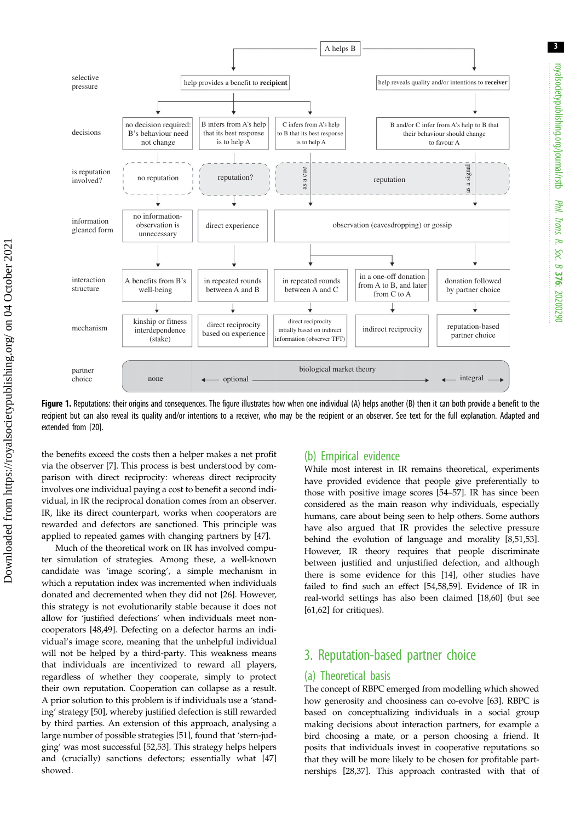<span id="page-2-0"></span>

Figure 1. Reputations: their origins and consequences. The figure illustrates how when one individual (A) helps another (B) then it can both provide a benefit to the recipient but can also reveal its quality and/or intentions to a receiver, who may be the recipient or an observer. See text for the full explanation. Adapted and extended from [\[20\]](#page-7-0).

the benefits exceed the costs then a helper makes a net profit via the observer [[7](#page-7-0)]. This process is best understood by comparison with direct reciprocity: whereas direct reciprocity involves one individual paying a cost to benefit a second individual, in IR the reciprocal donation comes from an observer. IR, like its direct counterpart, works when cooperators are rewarded and defectors are sanctioned. This principle was applied to repeated games with changing partners by [\[47](#page-7-0)].

Much of the theoretical work on IR has involved computer simulation of strategies. Among these, a well-known candidate was 'image scoring', a simple mechanism in which a reputation index was incremented when individuals donated and decremented when they did not [[26\]](#page-7-0). However, this strategy is not evolutionarily stable because it does not allow for 'justified defections' when individuals meet noncooperators [[48,49](#page-7-0)]. Defecting on a defector harms an individual's image score, meaning that the unhelpful individual will not be helped by a third-party. This weakness means that individuals are incentivized to reward all players, regardless of whether they cooperate, simply to protect their own reputation. Cooperation can collapse as a result. A prior solution to this problem is if individuals use a 'standing' strategy [\[50](#page-7-0)], whereby justified defection is still rewarded by third parties. An extension of this approach, analysing a large number of possible strategies [\[51](#page-7-0)], found that 'stern-judging' was most successful [\[52,53](#page-7-0)]. This strategy helps helpers and (crucially) sanctions defectors; essentially what [[47\]](#page-7-0) showed.

# (b) Empirical evidence

While most interest in IR remains theoretical, experiments have provided evidence that people give preferentially to those with positive image scores [\[54](#page-7-0)–[57\]](#page-8-0). IR has since been considered as the main reason why individuals, especially humans, care about being seen to help others. Some authors have also argued that IR provides the selective pressure behind the evolution of language and morality [[8,51](#page-7-0),[53\]](#page-7-0). However, IR theory requires that people discriminate between justified and unjustified defection, and although there is some evidence for this [\[14](#page-7-0)], other studies have failed to find such an effect [\[54](#page-7-0),[58,59\]](#page-8-0). Evidence of IR in real-world settings has also been claimed [\[18](#page-7-0)[,60](#page-8-0)] (but see [[61,62\]](#page-8-0) for critiques).

# 3. Reputation-based partner choice

# (a) Theoretical basis

The concept of RBPC emerged from modelling which showed how generosity and choosiness can co-evolve [\[63](#page-8-0)]. RBPC is based on conceptualizing individuals in a social group making decisions about interaction partners, for example a bird choosing a mate, or a person choosing a friend. It posits that individuals invest in cooperative reputations so that they will be more likely to be chosen for profitable partnerships [\[28](#page-7-0),[37\]](#page-7-0). This approach contrasted with that of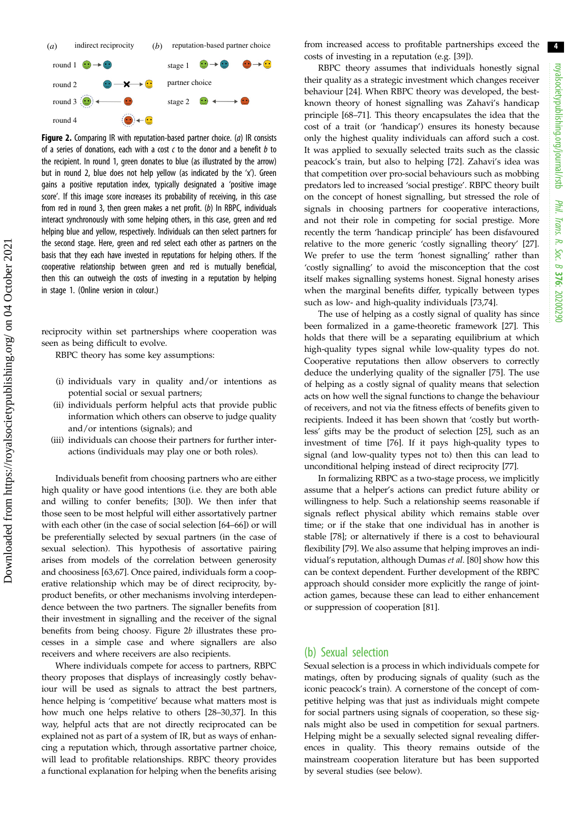<span id="page-3-0"></span>

Figure 2. Comparing IR with reputation-based partner choice. (a) IR consists of a series of donations, each with a cost  $c$  to the donor and a benefit  $b$  to the recipient. In round 1, green donates to blue (as illustrated by the arrow) but in round 2, blue does not help yellow (as indicated by the 'x'). Green gains a positive reputation index, typically designated a 'positive image score'. If this image score increases its probability of receiving, in this case from red in round 3, then green makes a net profit. (b) In RBPC, individuals interact synchronously with some helping others, in this case, green and red helping blue and yellow, respectively. Individuals can then select partners for the second stage. Here, green and red select each other as partners on the basis that they each have invested in reputations for helping others. If the cooperative relationship between green and red is mutually beneficial, then this can outweigh the costs of investing in a reputation by helping in stage 1. (Online version in colour.)

reciprocity within set partnerships where cooperation was seen as being difficult to evolve.

RBPC theory has some key assumptions:

- (i) individuals vary in quality and/or intentions as potential social or sexual partners;
- (ii) individuals perform helpful acts that provide public information which others can observe to judge quality and/or intentions (signals); and
- (iii) individuals can choose their partners for further interactions (individuals may play one or both roles).

Individuals benefit from choosing partners who are either high quality or have good intentions (i.e. they are both able and willing to confer benefits; [[30\]](#page-7-0)). We then infer that those seen to be most helpful will either assortatively partner with each other (in the case of social selection [[64](#page-8-0)–[66](#page-8-0)]) or will be preferentially selected by sexual partners (in the case of sexual selection). This hypothesis of assortative pairing arises from models of the correlation between generosity and choosiness [[63,67](#page-8-0)]. Once paired, individuals form a cooperative relationship which may be of direct reciprocity, byproduct benefits, or other mechanisms involving interdependence between the two partners. The signaller benefits from their investment in signalling and the receiver of the signal benefits from being choosy. Figure 2b illustrates these processes in a simple case and where signallers are also receivers and where receivers are also recipients.

Where individuals compete for access to partners, RBPC theory proposes that displays of increasingly costly behaviour will be used as signals to attract the best partners, hence helping is 'competitive' because what matters most is how much one helps relative to others [\[28](#page-7-0)–[30,37\]](#page-7-0). In this way, helpful acts that are not directly reciprocated can be explained not as part of a system of IR, but as ways of enhancing a reputation which, through assortative partner choice, will lead to profitable relationships. RBPC theory provides a functional explanation for helping when the benefits arising from increased access to profitable partnerships exceed the costs of investing in a reputation (e.g. [[39](#page-7-0)]).

RBPC theory assumes that individuals honestly signal their quality as a strategic investment which changes receiver behaviour [\[24](#page-7-0)]. When RBPC theory was developed, the bestknown theory of honest signalling was Zahavi's handicap principle [\[68](#page-8-0)–[71\]](#page-8-0). This theory encapsulates the idea that the cost of a trait (or 'handicap') ensures its honesty because only the highest quality individuals can afford such a cost. It was applied to sexually selected traits such as the classic peacock's train, but also to helping [[72\]](#page-8-0). Zahavi's idea was that competition over pro-social behaviours such as mobbing predators led to increased 'social prestige'. RBPC theory built on the concept of honest signalling, but stressed the role of signals in choosing partners for cooperative interactions, and not their role in competing for social prestige. More recently the term 'handicap principle' has been disfavoured relative to the more generic 'costly signalling theory' [[27\]](#page-7-0). We prefer to use the term 'honest signalling' rather than 'costly signalling' to avoid the misconception that the cost itself makes signalling systems honest. Signal honesty arises when the marginal benefits differ, typically between types such as low- and high-quality individuals [[73,74](#page-8-0)].

The use of helping as a costly signal of quality has since been formalized in a game-theoretic framework [\[27](#page-7-0)]. This holds that there will be a separating equilibrium at which high-quality types signal while low-quality types do not. Cooperative reputations then allow observers to correctly deduce the underlying quality of the signaller [[75\]](#page-8-0). The use of helping as a costly signal of quality means that selection acts on how well the signal functions to change the behaviour of receivers, and not via the fitness effects of benefits given to recipients. Indeed it has been shown that 'costly but worthless' gifts may be the product of selection [[25\]](#page-7-0), such as an investment of time [[76\]](#page-8-0). If it pays high-quality types to signal (and low-quality types not to) then this can lead to unconditional helping instead of direct reciprocity [[77\]](#page-8-0).

In formalizing RBPC as a two-stage process, we implicitly assume that a helper's actions can predict future ability or willingness to help. Such a relationship seems reasonable if signals reflect physical ability which remains stable over time; or if the stake that one individual has in another is stable [\[78](#page-8-0)]; or alternatively if there is a cost to behavioural flexibility [[79\]](#page-8-0). We also assume that helping improves an individual's reputation, although Dumas et al. [\[80](#page-8-0)] show how this can be context dependent. Further development of the RBPC approach should consider more explicitly the range of jointaction games, because these can lead to either enhancement or suppression of cooperation [\[81](#page-8-0)].

## (b) Sexual selection

Sexual selection is a process in which individuals compete for matings, often by producing signals of quality (such as the iconic peacock's train). A cornerstone of the concept of competitive helping was that just as individuals might compete for social partners using signals of cooperation, so these signals might also be used in competition for sexual partners. Helping might be a sexually selected signal revealing differences in quality. This theory remains outside of the mainstream cooperation literature but has been supported by several studies (see below).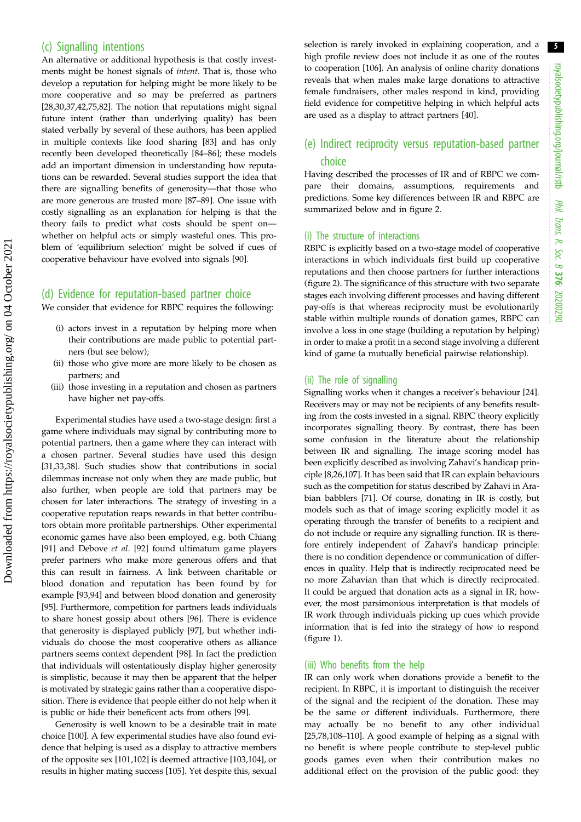# (c) Signalling intentions

An alternative or additional hypothesis is that costly investments might be honest signals of intent. That is, those who develop a reputation for helping might be more likely to be more cooperative and so may be preferred as partners [\[28](#page-7-0),[30,37,42](#page-7-0)[,75](#page-8-0),[82\]](#page-8-0). The notion that reputations might signal future intent (rather than underlying quality) has been stated verbally by several of these authors, has been applied in multiple contexts like food sharing [\[83](#page-8-0)] and has only recently been developed theoretically [[84](#page-8-0)–[86](#page-8-0)]; these models add an important dimension in understanding how reputations can be rewarded. Several studies support the idea that there are signalling benefits of generosity—that those who are more generous are trusted more [\[87](#page-8-0)–[89\]](#page-8-0). One issue with costly signalling as an explanation for helping is that the theory fails to predict what costs should be spent on whether on helpful acts or simply wasteful ones. This problem of 'equilibrium selection' might be solved if cues of cooperative behaviour have evolved into signals [[90\]](#page-8-0).

## (d) Evidence for reputation-based partner choice

We consider that evidence for RBPC requires the following:

- (i) actors invest in a reputation by helping more when their contributions are made public to potential partners (but see below);
- (ii) those who give more are more likely to be chosen as partners; and
- (iii) those investing in a reputation and chosen as partners have higher net pay-offs.

Experimental studies have used a two-stage design: first a game where individuals may signal by contributing more to potential partners, then a game where they can interact with a chosen partner. Several studies have used this design [\[31](#page-7-0),[33,38\]](#page-7-0). Such studies show that contributions in social dilemmas increase not only when they are made public, but also further, when people are told that partners may be chosen for later interactions. The strategy of investing in a cooperative reputation reaps rewards in that better contributors obtain more profitable partnerships. Other experimental economic games have also been employed, e.g. both Chiang [\[91](#page-8-0)] and Debove et al. [\[92](#page-8-0)] found ultimatum game players prefer partners who make more generous offers and that this can result in fairness. A link between charitable or blood donation and reputation has been found by for example [\[93](#page-8-0),[94\]](#page-8-0) and between blood donation and generosity [\[95](#page-8-0)]. Furthermore, competition for partners leads individuals to share honest gossip about others [[96\]](#page-8-0). There is evidence that generosity is displayed publicly [[97\]](#page-8-0), but whether individuals do choose the most cooperative others as alliance partners seems context dependent [[98\]](#page-8-0). In fact the prediction that individuals will ostentatiously display higher generosity is simplistic, because it may then be apparent that the helper is motivated by strategic gains rather than a cooperative disposition. There is evidence that people either do not help when it is public or hide their beneficent acts from others [[99\]](#page-8-0).

Generosity is well known to be a desirable trait in mate choice [[100](#page-8-0)]. A few experimental studies have also found evidence that helping is used as a display to attractive members of the opposite sex [[101,102\]](#page-8-0) is deemed attractive [[103,104\]](#page-8-0), or results in higher mating success [[105](#page-8-0)]. Yet despite this, sexual selection is rarely invoked in explaining cooperation, and a high profile review does not include it as one of the routes to cooperation [[106](#page-9-0)]. An analysis of online charity donations reveals that when males make large donations to attractive female fundraisers, other males respond in kind, providing field evidence for competitive helping in which helpful acts are used as a display to attract partners [\[40](#page-7-0)].

# (e) Indirect reciprocity versus reputation-based partner choice

Having described the processes of IR and of RBPC we compare their domains, assumptions, requirements and predictions. Some key differences between IR and RBPC are summarized below and in [figure 2](#page-3-0).

## (i) The structure of interactions

RBPC is explicitly based on a two-stage model of cooperative interactions in which individuals first build up cooperative reputations and then choose partners for further interactions ([figure 2](#page-3-0)). The significance of this structure with two separate stages each involving different processes and having different pay-offs is that whereas reciprocity must be evolutionarily stable within multiple rounds of donation games, RBPC can involve a loss in one stage (building a reputation by helping) in order to make a profit in a second stage involving a different kind of game (a mutually beneficial pairwise relationship).

#### (ii) The role of signalling

Signalling works when it changes a receiver's behaviour [[24\]](#page-7-0). Receivers may or may not be recipients of any benefits resulting from the costs invested in a signal. RBPC theory explicitly incorporates signalling theory. By contrast, there has been some confusion in the literature about the relationship between IR and signalling. The image scoring model has been explicitly described as involving Zahavi's handicap principle [\[8,26,](#page-7-0)[107](#page-9-0)]. It has been said that IR can explain behaviours such as the competition for status described by Zahavi in Arabian babblers [\[71](#page-8-0)]. Of course, donating in IR is costly, but models such as that of image scoring explicitly model it as operating through the transfer of benefits to a recipient and do not include or require any signalling function. IR is therefore entirely independent of Zahavi's handicap principle: there is no condition dependence or communication of differences in quality. Help that is indirectly reciprocated need be no more Zahavian than that which is directly reciprocated. It could be argued that donation acts as a signal in IR; however, the most parsimonious interpretation is that models of IR work through individuals picking up cues which provide information that is fed into the strategy of how to respond ([figure 1\)](#page-2-0).

#### (iii) Who benefits from the help

IR can only work when donations provide a benefit to the recipient. In RBPC, it is important to distinguish the receiver of the signal and the recipient of the donation. These may be the same or different individuals. Furthermore, there may actually be no benefit to any other individual [[25,](#page-7-0)[78](#page-8-0)[,108](#page-9-0)–[110](#page-9-0)]. A good example of helping as a signal with no benefit is where people contribute to step-level public goods games even when their contribution makes no additional effect on the provision of the public good: they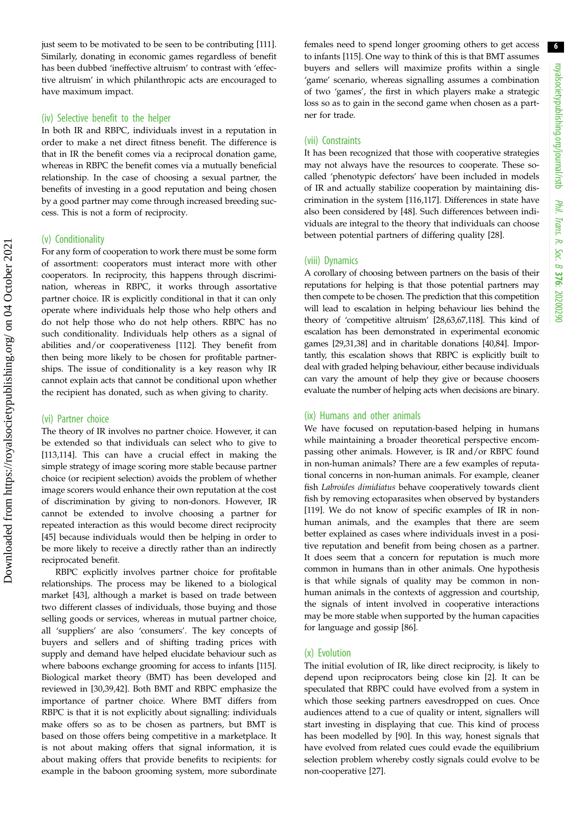just seem to be motivated to be seen to be contributing [[111](#page-9-0)]. Similarly, donating in economic games regardless of benefit has been dubbed 'ineffective altruism' to contrast with 'effective altruism' in which philanthropic acts are encouraged to have maximum impact.

#### (iv) Selective benefit to the helper

In both IR and RBPC, individuals invest in a reputation in order to make a net direct fitness benefit. The difference is that in IR the benefit comes via a reciprocal donation game, whereas in RBPC the benefit comes via a mutually beneficial relationship. In the case of choosing a sexual partner, the benefits of investing in a good reputation and being chosen by a good partner may come through increased breeding success. This is not a form of reciprocity.

## (v) Conditionality

For any form of cooperation to work there must be some form of assortment: cooperators must interact more with other cooperators. In reciprocity, this happens through discrimination, whereas in RBPC, it works through assortative partner choice. IR is explicitly conditional in that it can only operate where individuals help those who help others and do not help those who do not help others. RBPC has no such conditionality. Individuals help others as a signal of abilities and/or cooperativeness [\[112](#page-9-0)]. They benefit from then being more likely to be chosen for profitable partnerships. The issue of conditionality is a key reason why IR cannot explain acts that cannot be conditional upon whether the recipient has donated, such as when giving to charity.

#### (vi) Partner choice

The theory of IR involves no partner choice. However, it can be extended so that individuals can select who to give to [\[113](#page-9-0),[114\]](#page-9-0). This can have a crucial effect in making the simple strategy of image scoring more stable because partner choice (or recipient selection) avoids the problem of whether image scorers would enhance their own reputation at the cost of discrimination by giving to non-donors. However, IR cannot be extended to involve choosing a partner for repeated interaction as this would become direct reciprocity [\[45](#page-7-0)] because individuals would then be helping in order to be more likely to receive a directly rather than an indirectly reciprocated benefit.

RBPC explicitly involves partner choice for profitable relationships. The process may be likened to a biological market [[43\]](#page-7-0), although a market is based on trade between two different classes of individuals, those buying and those selling goods or services, whereas in mutual partner choice, all 'suppliers' are also 'consumers'. The key concepts of buyers and sellers and of shifting trading prices with supply and demand have helped elucidate behaviour such as where baboons exchange grooming for access to infants [[115](#page-9-0)]. Biological market theory (BMT) has been developed and reviewed in [\[30,39](#page-7-0),[42\]](#page-7-0). Both BMT and RBPC emphasize the importance of partner choice. Where BMT differs from RBPC is that it is not explicitly about signalling: individuals make offers so as to be chosen as partners, but BMT is based on those offers being competitive in a marketplace. It is not about making offers that signal information, it is about making offers that provide benefits to recipients: for example in the baboon grooming system, more subordinate females need to spend longer grooming others to get access to infants [\[115](#page-9-0)]. One way to think of this is that BMT assumes buyers and sellers will maximize profits within a single 'game' scenario, whereas signalling assumes a combination of two 'games', the first in which players make a strategic loss so as to gain in the second game when chosen as a partner for trade.

### (vii) Constraints

It has been recognized that those with cooperative strategies may not always have the resources to cooperate. These socalled 'phenotypic defectors' have been included in models of IR and actually stabilize cooperation by maintaining discrimination in the system [\[116,117](#page-9-0)]. Differences in state have also been considered by [[48\]](#page-7-0). Such differences between individuals are integral to the theory that individuals can choose between potential partners of differing quality [[28\]](#page-7-0).

#### (viii) Dynamics

A corollary of choosing between partners on the basis of their reputations for helping is that those potential partners may then compete to be chosen. The prediction that this competition will lead to escalation in helping behaviour lies behind the theory of 'competitive altruism' [\[28,](#page-7-0)[63](#page-8-0),[67](#page-8-0)[,118](#page-9-0)]. This kind of escalation has been demonstrated in experimental economic games [\[29,31,38\]](#page-7-0) and in charitable donations [\[40](#page-7-0)[,84\]](#page-8-0). Importantly, this escalation shows that RBPC is explicitly built to deal with graded helping behaviour, either because individuals can vary the amount of help they give or because choosers evaluate the number of helping acts when decisions are binary.

### (ix) Humans and other animals

We have focused on reputation-based helping in humans while maintaining a broader theoretical perspective encompassing other animals. However, is IR and/or RBPC found in non-human animals? There are a few examples of reputational concerns in non-human animals. For example, cleaner fish Labroides dimidiatus behave cooperatively towards client fish by removing ectoparasites when observed by bystanders [[119\]](#page-9-0). We do not know of specific examples of IR in nonhuman animals, and the examples that there are seem better explained as cases where individuals invest in a positive reputation and benefit from being chosen as a partner. It does seem that a concern for reputation is much more common in humans than in other animals. One hypothesis is that while signals of quality may be common in nonhuman animals in the contexts of aggression and courtship, the signals of intent involved in cooperative interactions may be more stable when supported by the human capacities for language and gossip [\[86](#page-8-0)].

#### (x) Evolution

The initial evolution of IR, like direct reciprocity, is likely to depend upon reciprocators being close kin [[2](#page-6-0)]. It can be speculated that RBPC could have evolved from a system in which those seeking partners eavesdropped on cues. Once audiences attend to a cue of quality or intent, signallers will start investing in displaying that cue. This kind of process has been modelled by [\[90](#page-8-0)]. In this way, honest signals that have evolved from related cues could evade the equilibrium selection problem whereby costly signals could evolve to be non-cooperative [\[27](#page-7-0)].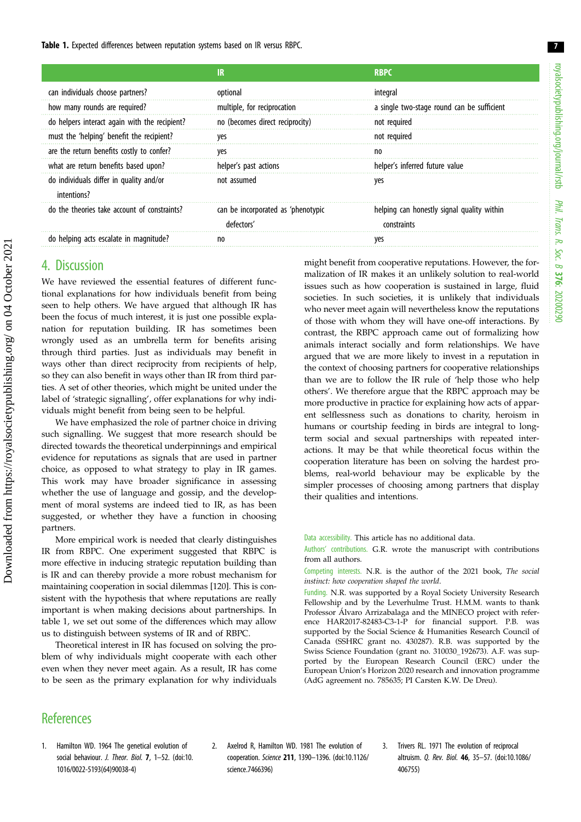<span id="page-6-0"></span>Table 1. Expected differences between reputation systems based on IR versus RBPC.

|                                                        | IR                                               | <b>RBPC</b>                                               |
|--------------------------------------------------------|--------------------------------------------------|-----------------------------------------------------------|
| can individuals choose partners?                       | optional                                         | integral                                                  |
| how many rounds are required?                          | multiple, for reciprocation                      | a single two-stage round can be sufficient                |
| do helpers interact again with the recipient?          | no (becomes direct reciprocity)                  | not required                                              |
| must the 'helping' benefit the recipient?              | yes                                              | not required                                              |
| are the return benefits costly to confer?              | ves                                              | no                                                        |
| what are return benefits based upon?                   | helper's past actions                            | helper's inferred future value                            |
| do individuals differ in quality and/or<br>intentions? | not assumed                                      | yes                                                       |
| do the theories take account of constraints?           | can be incorporated as 'phenotypic<br>defectors' | helping can honestly signal quality within<br>constraints |
| do helping acts escalate in magnitude?                 | n <sub>0</sub>                                   | ves                                                       |

We have reviewed the essential features of different functional explanations for how individuals benefit from being seen to help others. We have argued that although IR has been the focus of much interest, it is just one possible explanation for reputation building. IR has sometimes been wrongly used as an umbrella term for benefits arising through third parties. Just as individuals may benefit in ways other than direct reciprocity from recipients of help, so they can also benefit in ways other than IR from third parties. A set of other theories, which might be united under the label of 'strategic signalling', offer explanations for why individuals might benefit from being seen to be helpful.

We have emphasized the role of partner choice in driving such signalling. We suggest that more research should be directed towards the theoretical underpinnings and empirical evidence for reputations as signals that are used in partner choice, as opposed to what strategy to play in IR games. This work may have broader significance in assessing whether the use of language and gossip, and the development of moral systems are indeed tied to IR, as has been suggested, or whether they have a function in choosing partners.

More empirical work is needed that clearly distinguishes IR from RBPC. One experiment suggested that RBPC is more effective in inducing strategic reputation building than is IR and can thereby provide a more robust mechanism for maintaining cooperation in social dilemmas [\[120\]](#page-9-0). This is consistent with the hypothesis that where reputations are really important is when making decisions about partnerships. In table 1, we set out some of the differences which may allow us to distinguish between systems of IR and of RBPC.

Theoretical interest in IR has focused on solving the problem of why individuals might cooperate with each other even when they never meet again. As a result, IR has come to be seen as the primary explanation for why individuals might benefit from cooperative reputations. However, the formalization of IR makes it an unlikely solution to real-world issues such as how cooperation is sustained in large, fluid societies. In such societies, it is unlikely that individuals who never meet again will nevertheless know the reputations of those with whom they will have one-off interactions. By contrast, the RBPC approach came out of formalizing how animals interact socially and form relationships. We have argued that we are more likely to invest in a reputation in the context of choosing partners for cooperative relationships than we are to follow the IR rule of 'help those who help others'. We therefore argue that the RBPC approach may be more productive in practice for explaining how acts of apparent selflessness such as donations to charity, heroism in humans or courtship feeding in birds are integral to longterm social and sexual partnerships with repeated interactions. It may be that while theoretical focus within the cooperation literature has been on solving the hardest problems, real-world behaviour may be explicable by the simpler processes of choosing among partners that display their qualities and intentions.

Data accessibility. This article has no additional data.

Authors' contributions. G.R. wrote the manuscript with contributions from all authors.

Competing interests. N.R. is the author of the 2021 book, The social instinct: how cooperation shaped the world.

Funding. N.R. was supported by a Royal Society University Research Fellowship and by the Leverhulme Trust. H.M.M. wants to thank Professor Álvaro Arrizabalaga and the MINECO project with reference HAR2017-82483-C3-1-P for financial support. P.B. was supported by the Social Science & Humanities Research Council of Canada (SSHRC grant no. 430287). R.B. was supported by the Swiss Science Foundation (grant no. 310030\_192673). A.F. was supported by the European Research Council (ERC) under the European Union's Horizon 2020 research and innovation programme (AdG agreement no. 785635; PI Carsten K.W. De Dreu).

# **References**

- 1. Hamilton WD. 1964 The genetical evolution of social behaviour. J. Theor. Biol. 7, 1-52. [\(doi:10.](http://dx.doi.org/10.1016/0022-5193(64)90038-4) [1016/0022-5193\(64\)90038-4](http://dx.doi.org/10.1016/0022-5193(64)90038-4))
- 2. Axelrod R, Hamilton WD. 1981 The evolution of cooperation. Science 211, 1390–1396. [\(doi:10.1126/](http://dx.doi.org/10.1126/science.7466396) [science.7466396\)](http://dx.doi.org/10.1126/science.7466396)
- 3. Trivers RL. 1971 The evolution of reciprocal altruism. Q. Rev. Biol. 46, 35–57. [\(doi:10.1086/](http://dx.doi.org/10.1086/406755) [406755\)](http://dx.doi.org/10.1086/406755)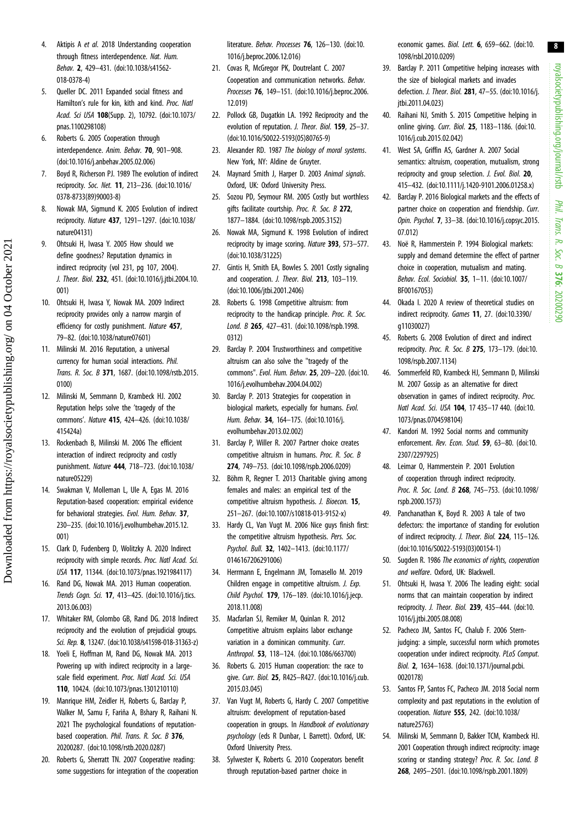royalsocietypublishing.org/journal/rstb royalsocietypublishing.org/journal/rstb Phil. Trans. R. Soc. $\sigma$ 376: 20200290

8

- <span id="page-7-0"></span>4. Aktipis A et al. 2018 Understanding cooperation through fitness interdependence. Nat. Hum. Behav. 2, 429–431. [\(doi:10.1038/s41562-](http://dx.doi.org/10.1038/s41562-018-0378-4) [018-0378-4\)](http://dx.doi.org/10.1038/s41562-018-0378-4)
- 5. Queller DC. 2011 Expanded social fitness and Hamilton's rule for kin, kith and kind. Proc. Natl Acad. Sci USA 108(Supp. 2), 10792. ([doi:10.1073/](http://dx.doi.org/10.1073/pnas.1100298108) [pnas.1100298108](http://dx.doi.org/10.1073/pnas.1100298108))
- 6. Roberts G. 2005 Cooperation through interdependence. Anim. Behav. 70, 901–908. [\(doi:10.1016/j.anbehav.2005.02.006\)](http://dx.doi.org/10.1016/j.anbehav.2005.02.006)
- 7. Boyd R, Richerson PJ. 1989 The evolution of indirect reciprocity. Soc. Net. 11, 213–236. ([doi:10.1016/](http://dx.doi.org/10.1016/0378-8733(89)90003-8) [0378-8733\(89\)90003-8](http://dx.doi.org/10.1016/0378-8733(89)90003-8))
- 8. Nowak MA, Sigmund K. 2005 Evolution of indirect reciprocity. Nature 437, 1291–1297. ([doi:10.1038/](http://dx.doi.org/10.1038/nature04131) [nature04131](http://dx.doi.org/10.1038/nature04131))
- 9. Ohtsuki H, Iwasa Y. 2005 How should we define goodness? Reputation dynamics in indirect reciprocity (vol 231, pg 107, 2004). J. Theor. Biol. 232, 451. ([doi:10.1016/j.jtbi.2004.10.](http://dx.doi.org/10.1016/j.jtbi.2004.10.001) [001](http://dx.doi.org/10.1016/j.jtbi.2004.10.001))
- 10. Ohtsuki H, Iwasa Y, Nowak MA. 2009 Indirect reciprocity provides only a narrow margin of efficiency for costly punishment. Nature 457, 79–82. [\(doi:10.1038/nature07601\)](http://dx.doi.org/10.1038/nature07601)
- 11. Milinski M. 2016 Reputation, a universal currency for human social interactions. Phil. Trans. R. Soc. B 371, 1687. [\(doi:10.1098/rstb.2015.](http://dx.doi.org/10.1098/rstb.2015.0100) [0100\)](http://dx.doi.org/10.1098/rstb.2015.0100)
- 12. Milinski M, Semmann D, Krambeck HJ. 2002 Reputation helps solve the 'tragedy of the commons'. Nature 415, 424–426. [\(doi:10.1038/](http://dx.doi.org/10.1038/415424a) [415424a\)](http://dx.doi.org/10.1038/415424a)
- 13. Rockenbach B, Milinski M. 2006 The efficient interaction of indirect reciprocity and costly punishment. Nature 444, 718–723. [\(doi:10.1038/](http://dx.doi.org/10.1038/nature05229) [nature05229](http://dx.doi.org/10.1038/nature05229))
- 14. Swakman V, Molleman L, Ule A, Egas M. 2016 Reputation-based cooperation: empirical evidence for behavioral strategies. Evol. Hum. Behav. 37, 230–235. ([doi:10.1016/j.evolhumbehav.2015.12.](http://dx.doi.org/10.1016/j.evolhumbehav.2015.12.001) [001](http://dx.doi.org/10.1016/j.evolhumbehav.2015.12.001))
- 15. Clark D, Fudenberg D, Wolitzky A. 2020 Indirect reciprocity with simple records. Proc. Natl Acad. Sci. USA 117, 11344. ([doi:10.1073/pnas.1921984117](http://dx.doi.org/10.1073/pnas.1921984117))
- 16. Rand DG, Nowak MA. 2013 Human cooperation. Trends Coan. Sci. 17, 413-425. (doi:10.1016/i.tics. [2013.06.003\)](http://dx.doi.org/10.1016/j.tics.2013.06.003)
- 17. Whitaker RM, Colombo GB, Rand DG. 2018 Indirect reciprocity and the evolution of prejudicial groups. Sci. Rep. 8, 13247. ([doi:10.1038/s41598-018-31363-z](http://dx.doi.org/10.1038/s41598-018-31363-z))
- 18. Yoeli E, Hoffman M, Rand DG, Nowak MA. 2013 Powering up with indirect reciprocity in a largescale field experiment. Proc. Natl Acad. Sci. USA 110, 10424. ([doi:10.1073/pnas.1301210110\)](http://dx.doi.org/10.1073/pnas.1301210110)
- 19. Manrique HM, Zeidler H, Roberts G, Barclay P, Walker M, Samu F, Fariña A, Bshary R, Raihani N. 2021 The psychological foundations of reputationbased cooperation. Phil. Trans. R. Soc. B 376, 20200287. [\(doi:10.1098/rstb.2020.0287](http://dx.doi.org/10.1098/rstb.2020.0287))
- 20. Roberts G, Sherratt TN. 2007 Cooperative reading: some suggestions for integration of the cooperation

literature. Behav. Processes 76, 126-130. ([doi:10.](http://dx.doi.org/10.1016/j.beproc.2006.12.016) [1016/j.beproc.2006.12.016\)](http://dx.doi.org/10.1016/j.beproc.2006.12.016)

- 21. Covas R, McGregor PK, Doutrelant C. 2007 Cooperation and communication networks. Behav. Processes 76, 149–151. ([doi:10.1016/j.beproc.2006.](http://dx.doi.org/10.1016/j.beproc.2006.12.019) [12.019](http://dx.doi.org/10.1016/j.beproc.2006.12.019))
- 22. Pollock GB, Dugatkin LA. 1992 Reciprocity and the evolution of reputation. J. Theor. Biol. 159, 25-37. [\(doi:10.1016/S0022-5193\(05\)80765-9](http://dx.doi.org/10.1016/S0022-5193(05)80765-9))
- 23. Alexander RD. 1987 The biology of moral systems. New York, NY: Aldine de Gruyter.
- 24. Maynard Smith J, Harper D. 2003 Animal signals. Oxford, UK: Oxford University Press.
- 25. Sozou PD, Seymour RM. 2005 Costly but worthless gifts facilitate courtship. Proc. R. Soc. B 272, 1877–1884. [\(doi:10.1098/rspb.2005.3152](http://dx.doi.org/10.1098/rspb.2005.3152))
- 26. Nowak MA, Sigmund K. 1998 Evolution of indirect reciprocity by image scoring. Nature 393, 573–577. [\(doi:10.1038/31225\)](http://dx.doi.org/10.1038/31225)
- 27. Gintis H, Smith EA, Bowles S. 2001 Costly signaling and cooperation. J. Theor. Biol. 213, 103-119. [\(doi:10.1006/jtbi.2001.2406](http://dx.doi.org/10.1006/jtbi.2001.2406))
- 28. Roberts G. 1998 Competitive altruism: from reciprocity to the handicap principle. Proc. R. Soc. Lond. B 265, 427–431. ([doi:10.1098/rspb.1998.](http://dx.doi.org/10.1098/rspb.1998.0312) [0312](http://dx.doi.org/10.1098/rspb.1998.0312))
- 29. Barclay P. 2004 Trustworthiness and competitive altruism can also solve the "tragedy of the commons". Evol. Hum. Behav. 25, 209–220. [\(doi:10.](http://dx.doi.org/10.1016/j.evolhumbehav.2004.04.002) [1016/j.evolhumbehav.2004.04.002\)](http://dx.doi.org/10.1016/j.evolhumbehav.2004.04.002)
- 30. Barclay P. 2013 Strategies for cooperation in biological markets, especially for humans. Evol. Hum. Behav. 34, 164–175. [\(doi:10.1016/j.](http://dx.doi.org/10.1016/j.evolhumbehav.2013.02.002) [evolhumbehav.2013.02.002\)](http://dx.doi.org/10.1016/j.evolhumbehav.2013.02.002)
- 31. Barclay P, Willer R. 2007 Partner choice creates competitive altruism in humans. Proc. R. Soc. B 274, 749–753. ([doi:10.1098/rspb.2006.0209](http://dx.doi.org/10.1098/rspb.2006.0209))
- 32. Böhm R, Regner T. 2013 Charitable giving among females and males: an empirical test of the competitive altruism hypothesis. J. Bioecon. 15, 251–267. ([doi:10.1007/s10818-013-9152-x](http://dx.doi.org/10.1007/s10818-013-9152-x))
- 33. Hardy CL, Van Vugt M. 2006 Nice guys finish first: the competitive altruism hypothesis. Pers. Soc. Psychol. Bull. 32, 1402–1413. ([doi:10.1177/](http://dx.doi.org/10.1177/0146167206291006) [0146167206291006\)](http://dx.doi.org/10.1177/0146167206291006)
- 34. Herrmann E, Engelmann JM, Tomasello M. 2019 Children engage in competitive altruism. J. Exp. Child Psychol. 179, 176–189. [\(doi:10.1016/j.jecp.](http://dx.doi.org/10.1016/j.jecp.2018.11.008) [2018.11.008\)](http://dx.doi.org/10.1016/j.jecp.2018.11.008)
- 35. Macfarlan SJ, Remiker M, Quinlan R. 2012 Competitive altruism explains labor exchange variation in a dominican community. Curr. Anthropol. 53, 118–124. ([doi:10.1086/663700\)](http://dx.doi.org/10.1086/663700)
- 36. Roberts G. 2015 Human cooperation: the race to give. Curr. Biol. 25, R425–R427. ([doi:10.1016/j.cub.](http://dx.doi.org/10.1016/j.cub.2015.03.045) [2015.03.045\)](http://dx.doi.org/10.1016/j.cub.2015.03.045)
- 37. Van Vugt M, Roberts G, Hardy C. 2007 Competitive altruism: development of reputation-based cooperation in groups. In Handbook of evolutionary psychology (eds R Dunbar, L Barrett). Oxford, UK: Oxford University Press.
- 38. Sylwester K, Roberts G. 2010 Cooperators benefit through reputation-based partner choice in

economic games. Biol. Lett. 6, 659–662. ([doi:10.](http://dx.doi.org/10.1098/rsbl.2010.0209) [1098/rsbl.2010.0209\)](http://dx.doi.org/10.1098/rsbl.2010.0209)

- 39. Barclay P. 2011 Competitive helping increases with the size of biological markets and invades defection. J. Theor. Biol. 281, 47–55. ([doi:10.1016/j.](http://dx.doi.org/10.1016/j.jtbi.2011.04.023) itbi.2011.04.023)
- 40. Raihani NJ, Smith S. 2015 Competitive helping in online giving. Curr. Biol. 25, 1183–1186. ([doi:10.](http://dx.doi.org/10.1016/j.cub.2015.02.042) [1016/j.cub.2015.02.042](http://dx.doi.org/10.1016/j.cub.2015.02.042))
- 41. West SA, Griffin AS, Gardner A. 2007 Social semantics: altruism, cooperation, mutualism, strong reciprocity and group selection. J. Evol. Biol. 20, 415–432. [\(doi:10.1111/j.1420-9101.2006.01258.x](http://dx.doi.org/10.1111/j.1420-9101.2006.01258.x))
- 42. Barclay P. 2016 Biological markets and the effects of partner choice on cooperation and friendship. Curr. Opin. Psychol. 7, 33–38. [\(doi:10.1016/j.copsyc.2015.](http://dx.doi.org/10.1016/j.copsyc.2015.07.012) [07.012](http://dx.doi.org/10.1016/j.copsyc.2015.07.012))
- 43. Noë R, Hammerstein P. 1994 Biological markets: supply and demand determine the effect of partner choice in cooperation, mutualism and mating. Behav. Ecol. Sociobiol. 35, 1–11. ([doi:10.1007/](http://dx.doi.org/10.1007/BF00167053) [BF00167053](http://dx.doi.org/10.1007/BF00167053))
- 44. Okada I. 2020 A review of theoretical studies on indirect reciprocity. Games 11, 27. [\(doi:10.3390/](http://dx.doi.org/10.3390/g11030027) [g11030027](http://dx.doi.org/10.3390/g11030027))
- 45. Roberts G. 2008 Evolution of direct and indirect reciprocity. Proc. R. Soc. B 275, 173–179. [\(doi:10.](http://dx.doi.org/10.1098/rspb.2007.1134) [1098/rspb.2007.1134\)](http://dx.doi.org/10.1098/rspb.2007.1134)
- 46. Sommerfeld RD, Krambeck HJ, Semmann D, Milinski M. 2007 Gossip as an alternative for direct observation in games of indirect reciprocity. Proc. Natl Acad. Sci. USA 104, 17 435–17 440. ([doi:10.](http://dx.doi.org/10.1073/pnas.0704598104) [1073/pnas.0704598104\)](http://dx.doi.org/10.1073/pnas.0704598104)
- 47. Kandori M. 1992 Social norms and community enforcement. Rev. Econ. Stud. 59, 63–80. ([doi:10.](http://dx.doi.org/10.2307/2297925) [2307/2297925](http://dx.doi.org/10.2307/2297925))
- 48. Leimar O, Hammerstein P. 2001 Evolution of cooperation through indirect reciprocity. Proc. R. Soc. Lond. B 268, 745–753. [\(doi:10.1098/](http://dx.doi.org/10.1098/rspb.2000.1573) [rspb.2000.1573\)](http://dx.doi.org/10.1098/rspb.2000.1573)
- 49. Panchanathan K, Boyd R. 2003 A tale of two defectors: the importance of standing for evolution of indirect reciprocity. J. Theor. Biol. 224, 115–126. ([doi:10.1016/S0022-5193\(03\)00154-1](http://dx.doi.org/10.1016/S0022-5193(03)00154-1))
- 50. Sugden R. 1986 The economics of rights, cooperation and welfare. Oxford, UK: Blackwell.
- 51. Ohtsuki H, Iwasa Y. 2006 The leading eight: social norms that can maintain cooperation by indirect reciprocity. J. Theor. Biol. 239, 435–444. [\(doi:10.](http://dx.doi.org/10.1016/j.jtbi.2005.08.008) [1016/j.jtbi.2005.08.008\)](http://dx.doi.org/10.1016/j.jtbi.2005.08.008)
- 52. Pacheco JM, Santos FC, Chalub F. 2006 Sternjudging: a simple, successful norm which promotes cooperation under indirect reciprocity. PLoS Comput. Biol. 2, 1634–1638. [\(doi:10.1371/journal.pcbi.](http://dx.doi.org/10.1371/journal.pcbi.0020178) [0020178](http://dx.doi.org/10.1371/journal.pcbi.0020178))
- 53. Santos FP, Santos FC, Pacheco JM. 2018 Social norm complexity and past reputations in the evolution of cooperation. Nature 555, 242. [\(doi:10.1038/](http://dx.doi.org/10.1038/nature25763) [nature25763](http://dx.doi.org/10.1038/nature25763))
- 54. Milinski M, Semmann D, Bakker TCM, Krambeck HJ. 2001 Cooperation through indirect reciprocity: image scoring or standing strategy? Proc. R. Soc. Lond. B 268, 2495–2501. [\(doi:10.1098/rspb.2001.1809\)](http://dx.doi.org/10.1098/rspb.2001.1809)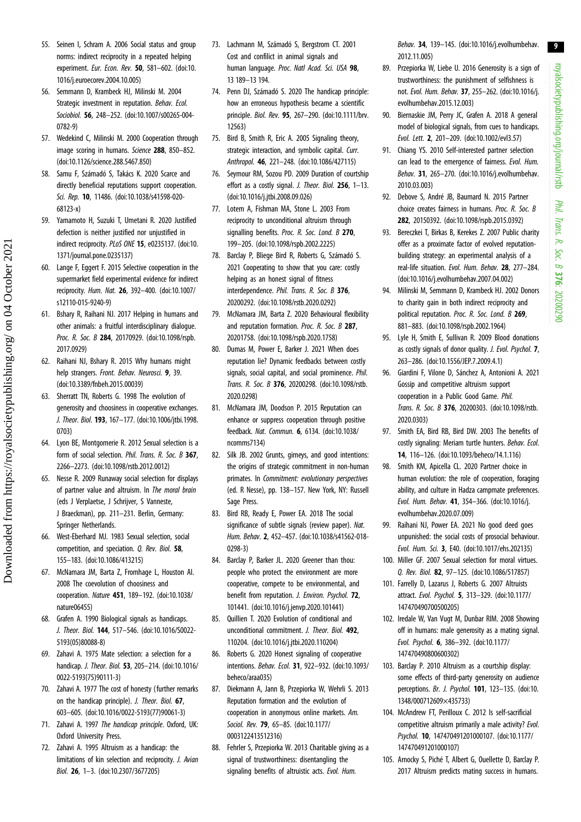- <span id="page-8-0"></span>55. Seinen I, Schram A. 2006 Social status and group norms: indirect reciprocity in a repeated helping experiment. Eur. Econ. Rev. 50, 581-602. [\(doi:10.](http://dx.doi.org/10.1016/j.euroecorev.2004.10.005) [1016/j.euroecorev.2004.10.005](http://dx.doi.org/10.1016/j.euroecorev.2004.10.005))
- 56. Semmann D, Krambeck HJ, Milinski M. 2004 Strategic investment in reputation. Behav. Ecol. Sociobiol. 56, 248–252. [\(doi:10.1007/s00265-004-](http://dx.doi.org/10.1007/s00265-004-0782-9) [0782-9](http://dx.doi.org/10.1007/s00265-004-0782-9))
- 57. Wedekind C, Milinski M. 2000 Cooperation through image scoring in humans. Science 288, 850-852. [\(doi:10.1126/science.288.5467.850](http://dx.doi.org/10.1126/science.288.5467.850))
- 58. Samu F, Számadó S, Takács K. 2020 Scarce and directly beneficial reputations support cooperation. Sci. Rep. 10, 11486. [\(doi:10.1038/s41598-020-](http://dx.doi.org/10.1038/s41598-020-68123-x) [68123-x](http://dx.doi.org/10.1038/s41598-020-68123-x))
- 59. Yamamoto H, Suzuki T, Umetani R. 2020 Justified defection is neither justified nor unjustified in indirect reciprocity. PLoS ONE 15, e0235137. ([doi:10.](http://dx.doi.org/10.1371/journal.pone.0235137) [1371/journal.pone.0235137\)](http://dx.doi.org/10.1371/journal.pone.0235137)
- 60. Lange F, Eggert F. 2015 Selective cooperation in the supermarket field experimental evidence for indirect reciprocity. Hum. Nat. 26, 392–400. ([doi:10.1007/](http://dx.doi.org/10.1007/s12110-015-9240-9) [s12110-015-9240-9\)](http://dx.doi.org/10.1007/s12110-015-9240-9)
- 61. Bshary R, Raihani NJ. 2017 Helping in humans and other animals: a fruitful interdisciplinary dialogue. Proc. R. Soc. B 284, 20170929. [\(doi:10.1098/rspb.](http://dx.doi.org/10.1098/rspb.2017.0929) [2017.0929\)](http://dx.doi.org/10.1098/rspb.2017.0929)
- 62. Raihani NJ, Bshary R. 2015 Why humans might help strangers. Front. Behav. Neurosci. 9, 39. [\(doi:10.3389/fnbeh.2015.00039](http://dx.doi.org/10.3389/fnbeh.2015.00039))
- 63. Sherratt TN, Roberts G. 1998 The evolution of generosity and choosiness in cooperative exchanges. J. Theor. Biol. 193, 167–177. ([doi:10.1006/jtbi.1998.](http://dx.doi.org/10.1006/jtbi.1998.0703) [0703\)](http://dx.doi.org/10.1006/jtbi.1998.0703)
- 64. Lyon BE, Montgomerie R. 2012 Sexual selection is a form of social selection. Phil. Trans. R. Soc. B 367, 2266–2273. [\(doi:10.1098/rstb.2012.0012\)](http://dx.doi.org/10.1098/rstb.2012.0012)
- 65. Nesse R. 2009 Runaway social selection for displays of partner value and altruism. In The moral brain (eds J Verplaetse, J Schrijver, S Vanneste, J Braeckman), pp. 211–231. Berlin, Germany: Springer Netherlands.
- 66. West-Eberhard MJ. 1983 Sexual selection, social competition, and speciation. Q. Rev. Biol. 58, 155–183. ([doi:10.1086/413215\)](http://dx.doi.org/10.1086/413215)
- 67. McNamara JM, Barta Z, Fromhage L, Houston AI. 2008 The coevolution of choosiness and cooperation. Nature 451, 189–192. [\(doi:10.1038/](http://dx.doi.org/10.1038/nature06455) [nature06455](http://dx.doi.org/10.1038/nature06455))
- 68. Grafen A. 1990 Biological signals as handicaps. J. Theor. Biol. 144, 517–546. [\(doi:10.1016/S0022-](http://dx.doi.org/10.1016/S0022-5193(05)80088-8) [5193\(05\)80088-8\)](http://dx.doi.org/10.1016/S0022-5193(05)80088-8)
- 69. Zahavi A. 1975 Mate selection: a selection for a handicap. J. Theor. Biol. 53, 205–214. ([doi:10.1016/](http://dx.doi.org/10.1016/0022-5193(75)90111-3) [0022-5193\(75\)90111-3](http://dx.doi.org/10.1016/0022-5193(75)90111-3))
- 70. Zahavi A. 1977 The cost of honesty (further remarks on the handicap principle). *J. Theor. Biol.* 67. 603–605. ([doi:10.1016/0022-5193\(77\)90061-3\)](http://dx.doi.org/10.1016/0022-5193(77)90061-3)
- 71. Zahavi A. 1997 The handicap principle. Oxford, UK: Oxford University Press.
- 72. Zahavi A. 1995 Altruism as a handicap: the limitations of kin selection and reciprocity. J. Avian Biol. 26, 1–3. [\(doi:10.2307/3677205](http://dx.doi.org/10.2307/3677205))
- 73. Lachmann M, Számadó S, Bergstrom CT. 2001 Cost and confilict in animal signals and human language. Proc. Natl Acad. Sci. USA 98, 13 189–13 194.
- 74. Penn DJ, Számadó S. 2020 The handicap principle: how an erroneous hypothesis became a scientific principle. Biol. Rev. 95, 267–290. ([doi:10.1111/brv.](http://dx.doi.org/10.1111/brv.12563) [12563\)](http://dx.doi.org/10.1111/brv.12563)
- 75. Bird B, Smith R, Eric A. 2005 Signaling theory, strategic interaction, and symbolic capital. Curr. Anthropol. 46, 221–248. ([doi:10.1086/427115\)](http://dx.doi.org/10.1086/427115)
- 76. Seymour RM, Sozou PD. 2009 Duration of courtship effort as a costly signal. J. Theor. Biol. 256, 1-13. [\(doi:10.1016/j.jtbi.2008.09.026\)](http://dx.doi.org/10.1016/j.jtbi.2008.09.026)
- 77. Lotem A, Fishman MA, Stone L. 2003 From reciprocity to unconditional altruism through signalling benefits. Proc. R. Soc. Lond. B 270, 199–205. ([doi:10.1098/rspb.2002.2225](http://dx.doi.org/10.1098/rspb.2002.2225))
- 78. Barclay P, Bliege Bird R, Roberts G, Számadó S. 2021 Cooperating to show that you care: costly helping as an honest signal of fitness interdependence. Phil. Trans. R. Soc. B 376, 20200292. ([doi:10.1098/rstb.2020.0292](http://dx.doi.org/10.1098/rstb.2020.0292))
- 79. McNamara JM, Barta Z. 2020 Behavioural flexibility and reputation formation. Proc. R. Soc. B 287, 20201758. ([doi:10.1098/rspb.2020.1758\)](http://dx.doi.org/10.1098/rspb.2020.1758)
- 80. Dumas M, Power E, Barker J. 2021 When does reputation lie? Dynamic feedbacks between costly signals, social capital, and social prominence. Phil. Trans. R. Soc. B 376, 20200298. [\(doi:10.1098/rstb.](http://dx.doi.org/10.1098/rstb.2020.0298) [2020.0298\)](http://dx.doi.org/10.1098/rstb.2020.0298)
- 81. McNamara JM, Doodson P. 2015 Reputation can enhance or suppress cooperation through positive feedback. Nat. Commun. 6, 6134. [\(doi:10.1038/](http://dx.doi.org/10.1038/ncomms7134) [ncomms7134\)](http://dx.doi.org/10.1038/ncomms7134)
- 82. Silk JB. 2002 Grunts, girneys, and good intentions: the origins of strategic commitment in non-human primates. In Commitment: evolutionary perspectives (ed. R Nesse), pp. 138–157. New York, NY: Russell Sage Press.
- 83. Bird RB, Ready E, Power EA. 2018 The social significance of subtle signals (review paper). Nat. Hum. Behav. 2, 452–457. [\(doi:10.1038/s41562-018-](http://dx.doi.org/10.1038/s41562-018-0298-3) [0298-3](http://dx.doi.org/10.1038/s41562-018-0298-3))
- 84. Barclay P, Barker JL. 2020 Greener than thou: people who protect the environment are more cooperative, compete to be environmental, and benefit from reputation. J. Environ. Psychol. 72, 101441. [\(doi:10.1016/j.jenvp.2020.101441](http://dx.doi.org/10.1016/j.jenvp.2020.101441))
- 85. Quillien T. 2020 Evolution of conditional and unconditional commitment. J. Theor. Biol. 492. 110204. [\(doi:10.1016/j.jtbi.2020.110204](http://dx.doi.org/10.1016/j.jtbi.2020.110204))
- 86. Roberts G. 2020 Honest signaling of cooperative intentions. Behav. Ecol. 31, 922–932. [\(doi:10.1093/](http://dx.doi.org/10.1093/beheco/araa035) [beheco/araa035](http://dx.doi.org/10.1093/beheco/araa035))
- 87. Diekmann A, Jann B, Przepiorka W, Wehrli S. 2013 Reputation formation and the evolution of cooperation in anonymous online markets. Am. Sociol. Rev. 79, 65–85. [\(doi:10.1177/](http://dx.doi.org/10.1177/0003122413512316) [0003122413512316\)](http://dx.doi.org/10.1177/0003122413512316)
- 88. Fehrler S, Przepiorka W. 2013 Charitable giving as a signal of trustworthiness: disentangling the signaling benefits of altruistic acts. Evol. Hum.

Behav. 34, 139–145. ([doi:10.1016/j.evolhumbehav.](http://dx.doi.org/10.1016/j.evolhumbehav.2012.11.005) [2012.11.005](http://dx.doi.org/10.1016/j.evolhumbehav.2012.11.005))

- 89. Przepiorka W, Liebe U. 2016 Generosity is a sign of trustworthiness: the punishment of selfishness is not. Evol. Hum. Behav. 37, 255–262. ([doi:10.1016/j.](http://dx.doi.org/10.1016/j.evolhumbehav.2015.12.003) [evolhumbehav.2015.12.003](http://dx.doi.org/10.1016/j.evolhumbehav.2015.12.003))
- 90. Biernaskie JM, Perry JC, Grafen A. 2018 A general model of biological signals, from cues to handicaps. Evol. Lett. 2, 201–209. [\(doi:10.1002/evl3.57](http://dx.doi.org/10.1002/evl3.57))
- 91. Chiang YS. 2010 Self-interested partner selection can lead to the emergence of fairness. Evol. Hum. Behav. 31, 265–270. ([doi:10.1016/j.evolhumbehav.](http://dx.doi.org/10.1016/j.evolhumbehav.2010.03.003) [2010.03.003](http://dx.doi.org/10.1016/j.evolhumbehav.2010.03.003))
- 92. Debove S, André JB, Baumard N. 2015 Partner choice creates fairness in humans. Proc. R. Soc. B 282, 20150392. ([doi:10.1098/rspb.2015.0392](http://dx.doi.org/10.1098/rspb.2015.0392))
- 93. Bereczkei T, Birkas B, Kerekes Z. 2007 Public charity offer as a proximate factor of evolved reputationbuilding strategy: an experimental analysis of a real-life situation. Evol. Hum. Behav. 28, 277–284. ([doi:10.1016/j.evolhumbehav.2007.04.002\)](http://dx.doi.org/10.1016/j.evolhumbehav.2007.04.002)
- 94. Milinski M, Semmann D, Krambeck HJ. 2002 Donors to charity gain in both indirect reciprocity and political reputation. Proc. R. Soc. Lond. B 269, 881–883. [\(doi:10.1098/rspb.2002.1964](http://dx.doi.org/10.1098/rspb.2002.1964))
- 95. Lyle H, Smith E, Sullivan R. 2009 Blood donations as costly signals of donor quality. J. Evol. Psychol. 7. 263–286. [\(doi:10.1556/JEP.7.2009.4.1\)](http://dx.doi.org/10.1556/JEP.7.2009.4.1)
- 96. Giardini F, Vilone D, Sánchez A, Antonioni A. 2021 Gossip and competitive altruism support cooperation in a Public Good Game. Phil. Trans. R. Soc. B 376, 20200303. ([doi:10.1098/rstb.](http://dx.doi.org/10.1098/rstb.2020.0303) [2020.0303](http://dx.doi.org/10.1098/rstb.2020.0303))
- 97. Smith EA, Bird RB, Bird DW. 2003 The benefits of costly signaling: Meriam turtle hunters. Behav. Ecol. 14, 116–126. ([doi:10.1093/beheco/14.1.116\)](http://dx.doi.org/10.1093/beheco/14.1.116)
- 98. Smith KM, Apicella CL. 2020 Partner choice in human evolution: the role of cooperation, foraging ability, and culture in Hadza campmate preferences. Evol. Hum. Behav. 41, 354–366. [\(doi:10.1016/j.](http://dx.doi.org/10.1016/j.evolhumbehav.2020.07.009) [evolhumbehav.2020.07.009](http://dx.doi.org/10.1016/j.evolhumbehav.2020.07.009))
- 99. Raihani NJ, Power EA. 2021 No good deed goes unpunished: the social costs of prosocial behaviour. Evol. Hum. Sci. 3, E40. ([doi:10.1017/ehs.202135](http://dx.doi.org/10.1017/ehs.202135))
- 100. Miller GF. 2007 Sexual selection for moral virtues. Q. Rev. Biol. 82, 97–125. ([doi:10.1086/517857](http://dx.doi.org/10.1086/517857))
- 101. Farrelly D, Lazarus J, Roberts G. 2007 Altruists attract. Evol. Psychol. 5, 313–329. ([doi:10.1177/](http://dx.doi.org/10.1177/147470490700500205) [147470490700500205](http://dx.doi.org/10.1177/147470490700500205))
- 102. Iredale W, Van Vugt M, Dunbar RIM. 2008 Showing off in humans: male generosity as a mating signal. Evol. Psychol. 6, 386–392. ([doi:10.1177/](http://dx.doi.org/10.1177/147470490800600302) [147470490800600302](http://dx.doi.org/10.1177/147470490800600302))
- 103. Barclay P. 2010 Altruism as a courtship display: some effects of third-party generosity on audience perceptions. Br. J. Psychol. 101, 123–135. [\(doi:10.](http://dx.doi.org/10.1348/000712609×435733) [1348/000712609×435733\)](http://dx.doi.org/10.1348/000712609×435733)
- 104. McAndrew FT, Perilloux C. 2012 Is self-sacrificial competitive altruism primarily a male activity? Evol. Psychol. 10, 147470491201000107. ([doi:10.1177/](http://dx.doi.org/10.1177/147470491201000107) [147470491201000107](http://dx.doi.org/10.1177/147470491201000107))
- 105. Arnocky S, Piché T, Albert G, Ouellette D, Barclay P. 2017 Altruism predicts mating success in humans.